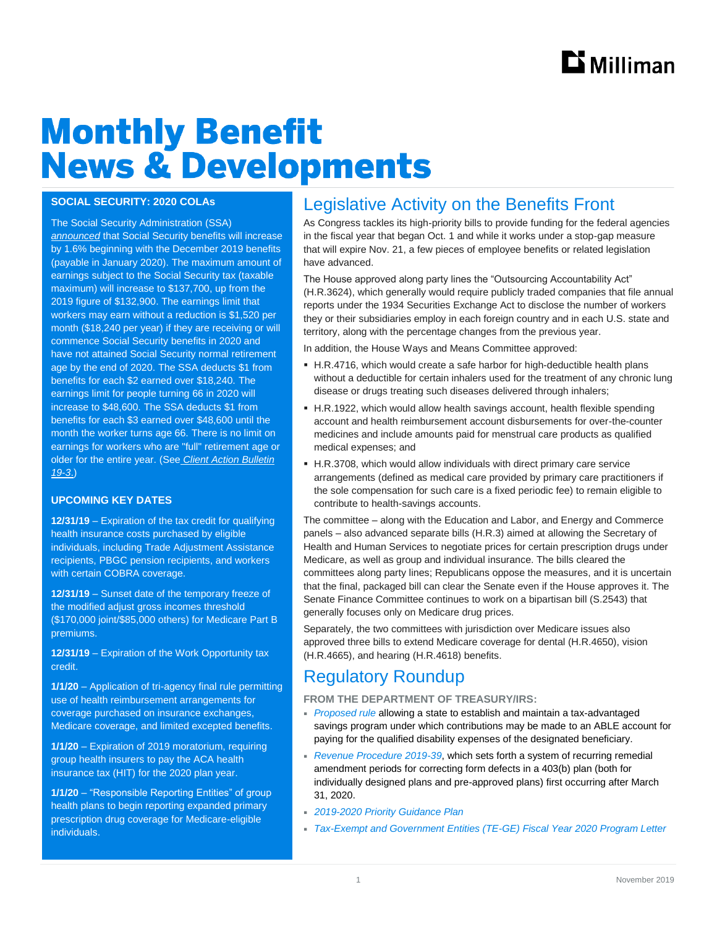# **Monthly Benefit News & Developments**

#### **SOCIAL SECURITY: 2020 COLAs**

The Social Security Administration (SSA) *[announced](https://www.ssa.gov/news/press/releases/2019/#10-2019-1)* that Social Security benefits will increase by 1.6% beginning with the December 2019 benefits (payable in January 2020). The maximum amount of earnings subject to the Social Security tax (taxable maximum) will increase to \$137,700, up from the 2019 figure of \$132,900. The earnings limit that workers may earn without a reduction is \$1,520 per month (\$18,240 per year) if they are receiving or will commence Social Security benefits in 2020 and have not attained Social Security normal retirement age by the end of 2020. The SSA deducts \$1 from benefits for each \$2 earned over \$18,240. The earnings limit for people turning 66 in 2020 will increase to \$48,600. The SSA deducts \$1 from benefits for each \$3 earned over \$48,600 until the month the worker turns age 66. There is no limit on earnings for workers who are "full" retirement age or older for the entire year. (See *[Client Action Bulletin](http://assets.milliman.com/ektron/CAB_19-3_2020COLAs_RetireSoSecHlth.pdf)  [19-3](http://assets.milliman.com/ektron/CAB_19-3_2020COLAs_RetireSoSecHlth.pdf)*.)

#### **UPCOMING KEY DATES**

**12/31/19** – Expiration of the tax credit for qualifying health insurance costs purchased by eligible individuals, including Trade Adjustment Assistance recipients, PBGC pension recipients, and workers with certain COBRA coverage.

**12/31/19** – Sunset date of the temporary freeze of the modified adjust gross incomes threshold (\$170,000 joint/\$85,000 others) for Medicare Part B premiums.

**12/31/19** – Expiration of the Work Opportunity tax credit.

**1/1/20** – Application of tri-agency final rule permitting use of health reimbursement arrangements for coverage purchased on insurance exchanges, Medicare coverage, and limited excepted benefits.

**1/1/20** – Expiration of 2019 moratorium, requiring group health insurers to pay the ACA health insurance tax (HIT) for the 2020 plan year.

**1/1/20** – "Responsible Reporting Entities" of group health plans to begin reporting expanded primary prescription drug coverage for Medicare-eligible individuals.

## Legislative Activity on the Benefits Front

As Congress tackles its high-priority bills to provide funding for the federal agencies in the fiscal year that began Oct. 1 and while it works under a stop-gap measure that will expire Nov. 21, a few pieces of employee benefits or related legislation have advanced.

The House approved along party lines the "Outsourcing Accountability Act" (H.R.3624), which generally would require publicly traded companies that file annual reports under the 1934 Securities Exchange Act to disclose the number of workers they or their subsidiaries employ in each foreign country and in each U.S. state and territory, along with the percentage changes from the previous year.

In addition, the House Ways and Means Committee approved:

- H.R.4716, which would create a safe harbor for high-deductible health plans without a deductible for certain inhalers used for the treatment of any chronic lung disease or drugs treating such diseases delivered through inhalers;
- H.R.1922, which would allow health savings account, health flexible spending account and health reimbursement account disbursements for over-the-counter medicines and include amounts paid for menstrual care products as qualified medical expenses; and
- H.R.3708, which would allow individuals with direct primary care service arrangements (defined as medical care provided by primary care practitioners if the sole compensation for such care is a fixed periodic fee) to remain eligible to contribute to health-savings accounts.

The committee – along with the Education and Labor, and Energy and Commerce panels – also advanced separate bills (H.R.3) aimed at allowing the Secretary of Health and Human Services to negotiate prices for certain prescription drugs under Medicare, as well as group and individual insurance. The bills cleared the committees along party lines; Republicans oppose the measures, and it is uncertain that the final, packaged bill can clear the Senate even if the House approves it. The Senate Finance Committee continues to work on a bipartisan bill (S.2543) that generally focuses only on Medicare drug prices.

Separately, the two committees with jurisdiction over Medicare issues also approved three bills to extend Medicare coverage for dental (H.R.4650), vision (H.R.4665), and hearing (H.R.4618) benefits.

## Regulatory Roundup

**FROM THE DEPARTMENT OF TREASURY/IRS:**

- *[Proposed rule](https://www.govinfo.gov/content/pkg/FR-2019-10-10/pdf/2019-21477.pdf)* allowing a state to establish and maintain a tax-advantaged savings program under which contributions may be made to an ABLE account for paying for the qualified disability expenses of the designated beneficiary.
- *[Revenue Procedure 2019-39](https://www.irs.gov/pub/irs-drop/rp-19-39.pdf)*, which sets forth a system of recurring remedial amendment periods for correcting form defects in a 403(b) plan (both for individually designed plans and pre-approved plans) first occurring after March 31, 2020.
- *[2019-2020 Priority Guidance Plan](https://www.irs.gov/pub/irs-utl/2019-2020_pgp_initial.pdf)*
- *[Tax-Exempt and Government Entities \(TE-GE\) Fiscal Year 2020 Program Letter](https://www.irs.gov/pub/irs-tege/tege-fy2020-program-letter.pdf)*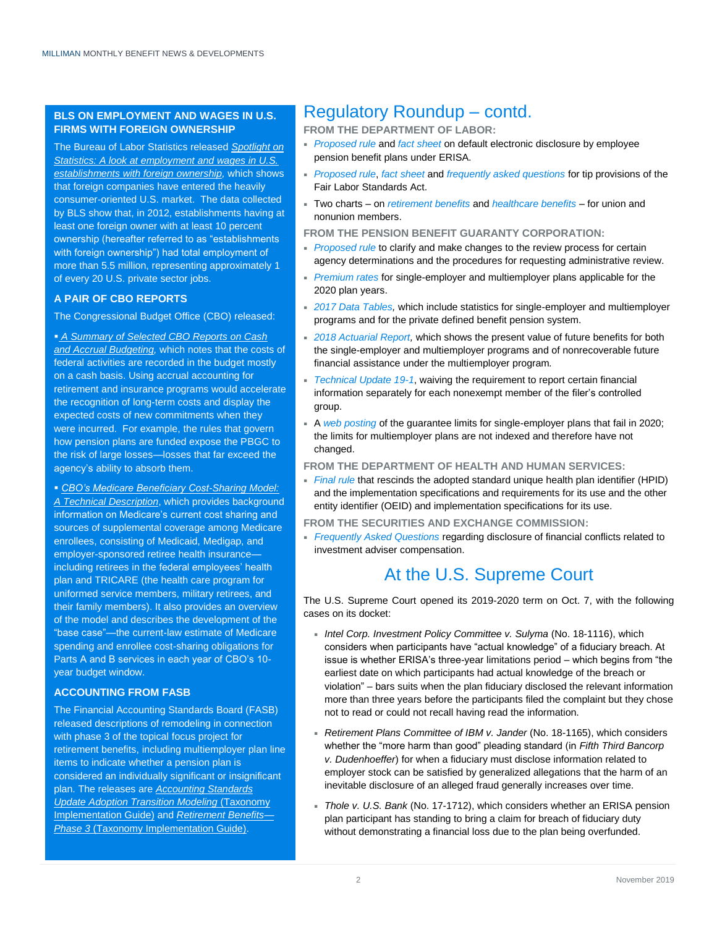#### **BLS ON EMPLOYMENT AND WAGES IN U.S. FIRMS WITH FOREIGN OWNERSHIP**

The Bureau of Labor Statistics released *[Spotlight on](https://www.bls.gov/spotlight/2019/a-look-at-employment-and-wages-in-u-s-establishments-with-foreign-ownership/pdf/a-look-at-employment-and-wages-in-u-s-establishments-with-foreign-ownership.pdf)  [Statistics: A look at employment and wages in U.S.](https://www.bls.gov/spotlight/2019/a-look-at-employment-and-wages-in-u-s-establishments-with-foreign-ownership/pdf/a-look-at-employment-and-wages-in-u-s-establishments-with-foreign-ownership.pdf)  [establishments with foreign ownership,](https://www.bls.gov/spotlight/2019/a-look-at-employment-and-wages-in-u-s-establishments-with-foreign-ownership/pdf/a-look-at-employment-and-wages-in-u-s-establishments-with-foreign-ownership.pdf)* which shows that foreign companies have entered the heavily consumer-oriented U.S. market. The data collected by BLS show that, in 2012, establishments having at least one foreign owner with at least 10 percent ownership (hereafter referred to as "establishments with foreign ownership") had total employment of more than 5.5 million, representing approximately 1 of every 20 U.S. private sector jobs.

#### **A PAIR OF CBO REPORTS**

#### The Congressional Budget Office (CBO) released:

 *[A Summary of Selected CBO Reports on Cash](https://www.cbo.gov/system/files/2019-10/55672-CBO-cash-accrual-working-paper.pdf)  [and Accrual Budgeting,](https://www.cbo.gov/system/files/2019-10/55672-CBO-cash-accrual-working-paper.pdf)* which notes that the costs of federal activities are recorded in the budget mostly on a cash basis. Using accrual accounting for retirement and insurance programs would accelerate the recognition of long-term costs and display the expected costs of new commitments when they were incurred. For example, the rules that govern how pension plans are funded expose the PBGC to the risk of large losses—losses that far exceed the agency's ability to absorb them.

 *[CBO's Medicare Beneficiary Cost-Sharing Model:](https://www.cbo.gov/system/files/2019-10/55659-CBO-medicare-beneficiary-cost-sharing-model.pdf)  [A Technical Description](https://www.cbo.gov/system/files/2019-10/55659-CBO-medicare-beneficiary-cost-sharing-model.pdf)*, which provides background information on Medicare's current cost sharing and sources of supplemental coverage among Medicare enrollees, consisting of Medicaid, Medigap, and employer-sponsored retiree health insurance including retirees in the federal employees' health plan and TRICARE (the health care program for uniformed service members, military retirees, and their family members). It also provides an overview of the model and describes the development of the "base case"—the current-law estimate of Medicare spending and enrollee cost-sharing obligations for Parts A and B services in each year of CBO's 10 year budget window.

#### **ACCOUNTING FROM FASB**

The Financial Accounting Standards Board (FASB) released descriptions of remodeling in connection with phase 3 of the topical focus project for retirement benefits, including multiemployer plan line items to indicate whether a pension plan is considered an individually significant or insignificant plan. The releases are *Accounting Standards Update Adoption Transition Modeling* [\(Taxonomy](https://accountingfoundation.us3.list-manage.com/track/click?u=e043e1190253df702a1340ed7&id=9db414fefd&e=7ed698fbc3)  [Implementation Guide\)](https://accountingfoundation.us3.list-manage.com/track/click?u=e043e1190253df702a1340ed7&id=9db414fefd&e=7ed698fbc3) and *Retirement Benefits*— *Phase 3* [\(Taxonomy Implementation Guide\)](https://accountingfoundation.us3.list-manage.com/track/click?u=e043e1190253df702a1340ed7&id=13f7829af9&e=7ed698fbc3).

### Regulatory Roundup – contd.

**FROM THE DEPARTMENT OF LABOR:**

- *[Proposed rule](https://www.govinfo.gov/content/pkg/FR-2019-10-23/pdf/2019-22901.pdf)* and *[fact sheet](https://www.dol.gov/sites/dolgov/files/ebsa/about-ebsa/our-activities/resource-center/fact-sheets/retirement-plans-electronic-disclosure-safe-harbor-rule.pdf)* on default electronic disclosure by employee pension benefit plans under ERISA.
- *[Proposed rule](https://www.govinfo.gov/content/pkg/FR-2019-10-08/pdf/2019-20868.pdf)*, *[fact sheet](https://www.dol.gov/whd/flsa/TipsFactSheet.pdf)* and *[frequently asked questions](https://www.dol.gov/whd/flsa/tipsFAQ.htm)* for tip provisions of the Fair Labor Standards Act.
- Two charts on *[retirement benefits](https://www.bls.gov/opub/ted/2019/union-workers-more-likely-than-nonunion-workers-to-have-retirement-benefits-in-2019.htm)* and *[healthcare benefits](https://www.bls.gov/opub/ted/2019/union-workers-more-likely-than-nonunion-workers-to-have-healthcare-benefits-in-2019.htm)* for union and nonunion members.

**FROM THE PENSION BENEFIT GUARANTY CORPORATION:**

- **[Proposed rule](https://www.govinfo.gov/content/pkg/FR-2019-10-04/pdf/2019-21495.pdf)** to clarify and make changes to the review process for certain agency determinations and the procedures for requesting administrative review.
- *[Premium rates](https://www.pbgc.gov/prac/prem/premium-rates)* for single-employer and multiemployer plans applicable for the 2020 plan years.
- *[2017 Data Tables,](https://www.pbgc.gov/sites/default/files/2017_pension_data_tables.pdf)* which include statistics for single-employer and multiemployer programs and for the private defined benefit pension system.
- *[2018 Actuarial Report,](https://www.pbgc.gov/sites/default/files/2018-actuarial-report.pdf)* which shows the present value of future benefits for both the single-employer and multiemployer programs and of nonrecoverable future financial assistance under the multiemployer program*.*
- *[Technical Update 19-1](https://www.pbgc.gov/prac/other-guidance/4010-financial-information-reporting-waiver)*, waiving the requirement to report certain financial information separately for each nonexempt member of the filer's controlled group.
- A *[web posting](https://www.pbgc.gov/wr/benefits/guaranteed-benefits/maximum-guarantee)* of the guarantee limits for single-employer plans that fail in 2020; the limits for multiemployer plans are not indexed and therefore have not changed.
- **FROM THE DEPARTMENT OF HEALTH AND HUMAN SERVICES:**
- *[Final rule](https://www.govinfo.gov/content/pkg/FR-2019-10-28/pdf/2019-23507.pdf)* that rescinds the adopted standard unique health plan identifier (HPID) and the implementation specifications and requirements for its use and the other entity identifier (OEID) and implementation specifications for its use.
- **FROM THE SECURITIES AND EXCHANGE COMMISSION:**
- *[Frequently Asked Questions](https://www.sec.gov/investment/faq-disclosure-conflicts-investment-adviser-compensation)* regarding disclosure of financial conflicts related to investment adviser compensation.

## At the U.S. Supreme Court

The U.S. Supreme Court opened its 2019-2020 term on Oct. 7, with the following cases on its docket:

- *Intel Corp. Investment Policy Committee v. Sulyma* (No. 18-1116), which considers when participants have "actual knowledge" of a fiduciary breach. At issue is whether ERISA's three-year limitations period – which begins from "the earliest date on which participants had actual knowledge of the breach or violation" – bars suits when the plan fiduciary disclosed the relevant information more than three years before the participants filed the complaint but they chose not to read or could not recall having read the information.
- *Retirement Plans Committee of IBM v. Jander* (No. 18-1165), which considers whether the "more harm than good" pleading standard (in *Fifth Third Bancorp v. Dudenhoeffer*) for when a fiduciary must disclose information related to employer stock can be satisfied by generalized allegations that the harm of an inevitable disclosure of an alleged fraud generally increases over time.
- *Thole v. U.S. Bank* (No. 17-1712), which considers whether an ERISA pension plan participant has standing to bring a claim for breach of fiduciary duty without demonstrating a financial loss due to the plan being overfunded.